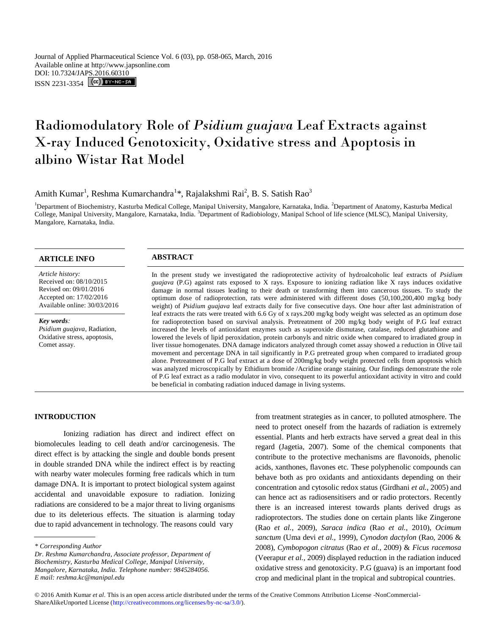Journal of Applied Pharmaceutical Science Vol. 6 (03), pp. 058-065, March, 2016 Available online at http://www.japsonline.com DOI: 10.7324/JA[PS.2016.60310](http://creativecommons.org/licenses/by-nc-sa/3.0/) ISSN 2231-3354 **CC**) BY-NO-SA

# Radiomodulatory Role of *Psidium guajava* Leaf Extracts against X-ray Induced Genotoxicity, Oxidative stress and Apoptosis in albino Wistar Rat Model

Amith Kumar<sup>1</sup>, Reshma Kumarchandra<sup>1\*</sup>, Rajalakshmi Rai<sup>2</sup>, B. S. Satish Rao<sup>3</sup>

<sup>1</sup>Department of Biochemistry, Kasturba Medical College, Manipal University, Mangalore, Karnataka, India. <sup>2</sup>Department of Anatomy, Kasturba Medical College, Manipal University, Mangalore, Karnataka, India. <sup>3</sup>Department of Radiobiology, Manipal School of life science (MLSC), Manipal University, Mangalore, Karnataka, India.

# **ARTICLE INFO ABSTRACT**

*Article history:* Received on: 08/10/2015 Revised on: 09/01/2016 Accepted on: 17/02/2016 Available online: 30/03/2016

#### *Key words:*

*Psidium guajava*, Radiation, Oxidative stress, apoptosis, Comet assay.

In the present study we investigated the radioprotective activity of hydroalcoholic leaf extracts of *Psidium guajava* (P.G) against rats exposed to X rays. Exposure to ionizing radiation like X rays induces oxidative damage in normal tissues leading to their death or transforming them into cancerous tissues. To study the optimum dose of radioprotection, rats were administered with different doses (50,100,200,400 mg/kg body weight) of *Psidium guajava* leaf extracts daily for five consecutive days. One hour after last administration of leaf extracts the rats were treated with 6.6 Gy of x rays.200 mg/kg body weight was selected as an optimum dose for radioprotection based on survival analysis. Pretreatment of 200 mg/kg body weight of P.G leaf extract increased the levels of antioxidant enzymes such as superoxide dismutase, catalase, reduced glutathione and lowered the levels of lipid peroxidation, protein carbonyls and nitric oxide when compared to irradiated group in liver tissue homogenates. DNA damage indicators analyzed through comet assay showed a reduction in Olive tail movement and percentage DNA in tail significantly in P.G pretreated group when compared to irradiated group alone. Pretreatment of P.G leaf extract at a dose of 200mg/kg body weight protected cells from apoptosis which was analyzed microscopically by Ethidium bromide /Acridine orange staining. Our findings demonstrate the role of P.G leaf extract as a radio modulator in vivo, consequent to its powerful antioxidant activity in vitro and could be beneficial in combating radiation induced damage in living systems.

#### **INTRODUCTION**

Ionizing radiation has direct and indirect effect on biomolecules leading to cell death and/or carcinogenesis. The direct effect is by attacking the single and double bonds present in double stranded DNA while the indirect effect is by reacting with nearby water molecules forming free radicals which in turn damage DNA. It is important to protect biological system against accidental and unavoidable exposure to radiation. Ionizing radiations are considered to be a major threat to living organisms due to its deleterious effects. The situation is alarming today due to rapid advancement in technology. The reasons could vary

from treatment strategies as in cancer, to polluted atmosphere. The need to protect oneself from the hazards of radiation is extremely essential. Plants and herb extracts have served a great deal in this regard (Jagetia, 2007). Some of the chemical components that contribute to the protective mechanisms are flavonoids, phenolic acids, xanthones, flavones etc. These polyphenolic compounds can behave both as pro oxidants and antioxidants depending on their concentration and cytosolic redox status (Girdhani *et al.*, 2005) and can hence act as radiosensitisers and or radio protectors. Recently there is an increased interest towards plants derived drugs as radioprotectors. The studies done on certain plants like Zingerone (Rao *et al.*, 2009), *Saraca indica* (Rao *et al.*, 2010), *Ocimum sanctum* (Uma devi *et al.*, 1999), *Cynodon dactylon* (Rao, 2006 & 2008), *Cymbopogon citratus* (Rao *et al.*, 2009) & *Ficus racemosa* (Veerapur *et al.*, 2009) displayed reduction in the radiation induced oxidative stress and genotoxicity. P.G (guava) is an important food crop and medicinal plant in the tropical and subtropical countries.

*<sup>\*</sup> Corresponding Author*

*Dr. Reshma Kumarchandra, Associate professor, Department of Biochemistry, Kasturba Medical College, Manipal University, Mangalore, Karnataka, India. Telephone number: 9845284056. E mail: reshma.kc@manipal.edu*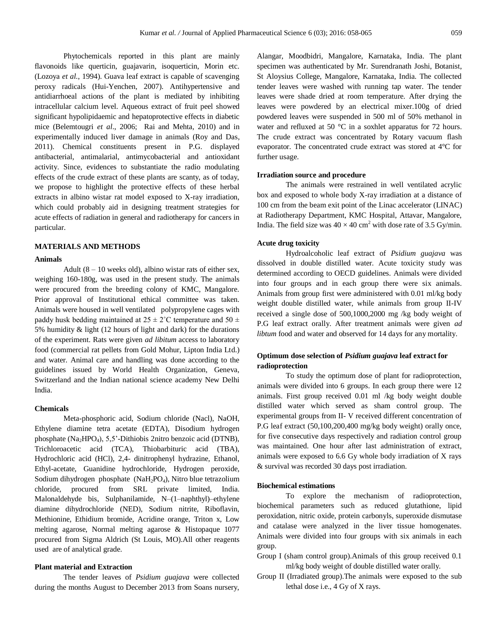Phytochemicals reported in this plant are mainly flavonoids like querticin, guajavarin, isoquerticin, Morin etc. (Lozoya *et al.*, 1994). Guava leaf extract is capable of scavenging peroxy radicals (Hui-Yenchen, 2007). Antihypertensive and antidiarrhoeal actions of the plant is mediated by inhibiting intracellular calcium level. Aqueous extract of fruit peel showed significant hypolipidaemic and hepatoprotective effects in diabetic mice (Belemtougri *et al*., 2006; Rai and Mehta, 2010) and in experimentally induced liver damage in animals (Roy and Das, 2011). Chemical constituents present in P.G. displayed antibacterial, antimalarial, antimycobacterial and antioxidant activity. Since, evidences to substantiate the radio modulating effects of the crude extract of these plants are scanty, as of today, we propose to highlight the protective effects of these herbal extracts in albino wistar rat model exposed to X-ray irradiation, which could probably aid in designing treatment strategies for acute effects of radiation in general and radiotherapy for cancers in particular.

# **MATERIALS AND METHODS**

#### **Animals**

Adult  $(8 - 10$  weeks old), albino wistar rats of either sex, weighing 160-180g, was used in the present study. The animals were procured from the breeding colony of KMC, Mangalore. Prior approval of Institutional ethical committee was taken. Animals were housed in well ventilated polypropylene cages with paddy husk bedding maintained at  $25 \pm 2^{\circ}$ C temperature and  $50 \pm 2^{\circ}$ 5% humidity & light (12 hours of light and dark) for the durations of the experiment. Rats were given *ad libitum* access to laboratory food (commercial rat pellets from Gold Mohur, Lipton India Ltd.) and water. Animal care and handling was done according to the guidelines issued by World Health Organization, Geneva, Switzerland and the Indian national science academy New Delhi India.

#### **Chemicals**

Meta-phosphoric acid, Sodium chloride (Nacl), NaOH, Ethylene diamine tetra acetate (EDTA), Disodium hydrogen phosphate (Na<sub>2</sub>HPO<sub>4</sub>), 5,5'-Dithiobis 2nitro benzoic acid (DTNB), Trichloroacetic acid (TCA), Thiobarbituric acid (TBA), Hydrochloric acid (HCl), 2,4- dinitrophenyl hydrazine, Ethanol, Ethyl-acetate, Guanidine hydrochloride, Hydrogen peroxide, Sodium dihydrogen phosphate (NaH<sub>2</sub>PO<sub>4</sub>), Nitro blue tetrazolium chloride, procured from SRL private limited, India. Malonaldehyde bis, Sulphanilamide, N–(1–naphthyl)–ethylene diamine dihydrochloride (NED), Sodium nitrite, Riboflavin, Methionine, Ethidium bromide, Acridine orange, Triton x, Low melting agarose, Normal melting agarose & Histopaque 1077 procured from Sigma Aldrich (St Louis, MO).All other reagents used are of analytical grade.

# **Plant material and Extraction**

The tender leaves of *Psidium guajava* were collected during the months August to December 2013 from Soans nursery, Alangar, Moodbidri, Mangalore, Karnataka, India. The plant specimen was authenticated by Mr. Surendranath Joshi, Botanist, St Aloysius College, Mangalore, Karnataka, India. The collected tender leaves were washed with running tap water. The tender leaves were shade dried at room temperature. After drying the leaves were powdered by an electrical mixer.100g of dried powdered leaves were suspended in 500 ml of 50% methanol in water and refluxed at 50 °C in a soxhlet apparatus for 72 hours. The crude extract was concentrated by Rotary vacuum flash evaporator. The concentrated crude extract was stored at 4°C for further usage.

### **Irradiation source and procedure**

The animals were restrained in well ventilated acrylic box and exposed to whole body X-ray irradiation at a distance of 100 cm from the beam exit point of the Linac accelerator (LINAC) at Radiotherapy Department, KMC Hospital, Attavar, Mangalore, India. The field size was  $40 \times 40$  cm<sup>2</sup> with dose rate of 3.5 Gy/min.

#### **Acute drug toxicity**

Hydroalcoholic leaf extract of *Psidium guajava* was dissolved in double distilled water. Acute toxicity study was determined according to OECD guidelines. Animals were divided into four groups and in each group there were six animals. Animals from group first were administered with 0.01 ml/kg body weight double distilled water, while animals from group II-IV received a single dose of 500,1000,2000 mg /kg body weight of P.G leaf extract orally. After treatment animals were given *ad libtum* food and water and observed for 14 days for any mortality.

# **Optimum dose selection of** *Psidium guajava* **leaf extract for radioprotection**

To study the optimum dose of plant for radioprotection, animals were divided into 6 groups. In each group there were 12 animals. First group received 0.01 ml /kg body weight double distilled water which served as sham control group. The experimental groups from II- V received different concentration of P.G leaf extract (50,100,200,400 mg/kg body weight) orally once, for five consecutive days respectively and radiation control group was maintained. One hour after last administration of extract, animals were exposed to 6.6 Gy whole body irradiation of X rays & survival was recorded 30 days post irradiation.

#### **Biochemical estimations**

To explore the mechanism of radioprotection, biochemical parameters such as reduced glutathione, lipid peroxidation, nitric oxide, protein carbonyls, superoxide dismutase and catalase were analyzed in the liver tissue homogenates. Animals were divided into four groups with six animals in each group.

- Group I (sham control group).Animals of this group received 0.1 ml/kg body weight of double distilled water orally.
- Group II (Irradiated group).The animals were exposed to the sub lethal dose i.e., 4 Gy of X rays.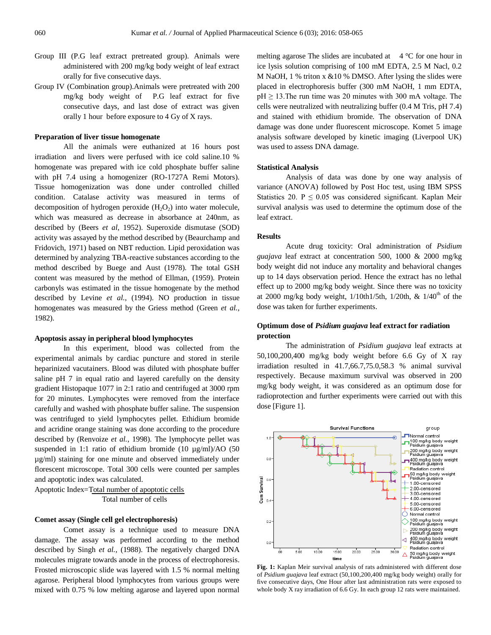- Group III (P.G leaf extract pretreated group). Animals were administered with 200 mg/kg body weight of leaf extract orally for five consecutive days.
- Group IV (Combination group).Animals were pretreated with 200 mg/kg body weight of P.G leaf extract for five consecutive days, and last dose of extract was given orally 1 hour before exposure to 4 Gy of X rays.

### **Preparation of liver tissue homogenate**

All the animals were euthanized at 16 hours post irradiation and livers were perfused with ice cold saline.10 % homogenate was prepared with ice cold phosphate buffer saline with pH 7.4 using a homogenizer (RO-1727A Remi Motors). Tissue homogenization was done under controlled chilled condition. Catalase activity was measured in terms of decomposition of hydrogen peroxide  $(H_2O_2)$  into water molecule, which was measured as decrease in absorbance at 240nm, as described by (Beers *et al*, 1952). Superoxide dismutase (SOD) activity was assayed by the method described by (Beaurchamp and Fridovich, 1971) based on NBT reduction. Lipid peroxidation was determined by analyzing TBA-reactive substances according to the method described by Buege and Aust (1978). The total GSH content was measured by the method of Ellman, (1959). Protein carbonyls was estimated in the tissue homogenate by the method described by Levine *et al.*, (1994). NO production in tissue homogenates was measured by the Griess method (Green *et al.*, 1982).

#### **Apoptosis assay in peripheral blood lymphocytes**

In this experiment, blood was collected from the experimental animals by cardiac puncture and stored in sterile heparinized vacutainers. Blood was diluted with phosphate buffer saline pH 7 in equal ratio and layered carefully on the density gradient Histopaque 1077 in 2:1 ratio and centrifuged at 3000 rpm for 20 minutes. Lymphocytes were removed from the interface carefully and washed with phosphate buffer saline. The suspension was centrifuged to yield lymphocytes pellet. Ethidium bromide and acridine orange staining was done according to the procedure described by (Renvoize *et al.*, 1998). The lymphocyte pellet was suspended in 1:1 ratio of ethidium bromide (10 µg/ml)/AO (50 µg/ml) staining for one minute and observed immediately under florescent microscope. Total 300 cells were counted per samples and apoptotic index was calculated.

Apoptotic Index=Total number of apoptotic cells Total number of cells

# **Comet assay (Single cell gel electrophoresis)**

Comet assay is a technique used to measure DNA damage. The assay was performed according to the method described by Singh *et al.*, (1988). The negatively charged DNA molecules migrate towards anode in the process of electrophoresis. Frosted microscopic slide was layered with 1.5 % normal melting agarose. Peripheral blood lymphocytes from various groups were mixed with 0.75 % low melting agarose and layered upon normal melting agarose The slides are incubated at  $4^{\circ}$ C for one hour in ice lysis solution comprising of 100 mM EDTA, 2.5 M Nacl, 0.2 M NaOH, 1 % triton x &10 % DMSO. After lysing the slides were placed in electrophoresis buffer (300 mM NaOH, 1 mm EDTA,  $pH \geq 13$ . The run time was 20 minutes with 300 mA voltage. The cells were neutralized with neutralizing buffer (0.4 M Tris, pH 7.4) and stained with ethidium bromide. The observation of DNA damage was done under fluorescent microscope. Komet 5 image analysis software developed by kinetic imaging (Liverpool UK) was used to assess DNA damage.

#### **Statistical Analysis**

Analysis of data was done by one way analysis of variance (ANOVA) followed by Post Hoc test, using IBM SPSS Statistics 20. P  $\leq$  0.05 was considered significant. Kaplan Meir survival analysis was used to determine the optimum dose of the leaf extract.

### **Results**

Acute drug toxicity: Oral administration of *Psidium guajava* leaf extract at concentration 500, 1000 & 2000 mg/kg body weight did not induce any mortality and behavioral changes up to 14 days observation period. Hence the extract has no lethal effect up to 2000 mg/kg body weight. Since there was no toxicity at 2000 mg/kg body weight,  $1/10$ th $1/5$ th,  $1/20$ th,  $\&$   $1/40<sup>th</sup>$  of the dose was taken for further experiments.

# **Optimum dose of** *Psidium guajava* **leaf extract for radiation protection**

The administration of *Psidium guajava* leaf extracts at 50,100,200,400 mg/kg body weight before 6.6 Gy of X ray irradiation resulted in 41.7,66.7,75.0,58.3 % animal survival respectively. Because maximum survival was observed in 200 mg/kg body weight, it was considered as an optimum dose for radioprotection and further experiments were carried out with this dose [Figure 1].



**Fig. 1:** Kaplan Meir survival analysis of rats administered with different dose of *Psidium guajava* leaf extract (50,100,200,400 mg/kg body weight) orally for five consecutive days, One Hour after last administration rats were exposed to whole body X ray irradiation of 6.6 Gy. In each group 12 rats were maintained.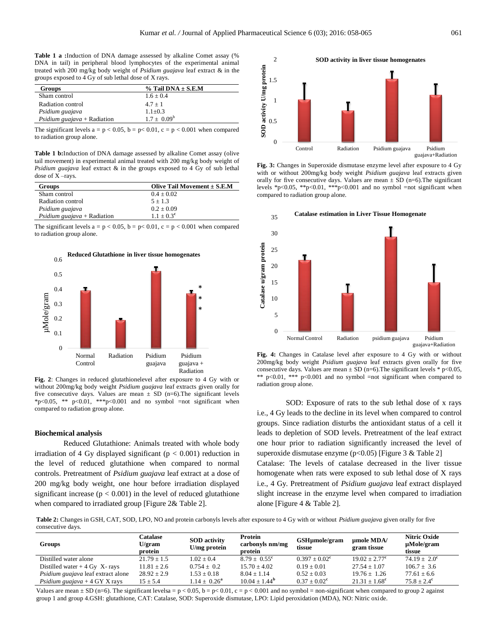**Table 1 a :**Induction of DNA damage assessed by alkaline Comet assay (% DNA in tail) in peripheral blood lymphocytes of the experimental animal treated with 200 mg/kg body weight of *Psidium guajava* leaf extract & in the groups exposed to 4 Gy of sub lethal dose of X rays.

| <b>Groups</b>                      | $%$ Tail DNA $\pm$ S.E.M |  |  |
|------------------------------------|--------------------------|--|--|
| Sham control                       | $1.6 + 0.4$              |  |  |
| Radiation control                  | $4.7 + 1$                |  |  |
| Psidium guajava                    | $1.1 \pm 0.3$            |  |  |
| <i>Psidium guajava</i> + Radiation | $1.7 \pm 0.09^b$         |  |  |

The significant levels  $a = p < 0.05$ ,  $b = p < 0.01$ ,  $c = p < 0.001$  when compared to radiation group alone.

**Table 1 b:**Induction of DNA damage assessed by alkaline Comet assay (olive tail movement) in experimental animal treated with 200 mg/kg body weight of *Psidium guajava* leaf extract & in the groups exposed to 4 Gy of sub lethal dose of X –rays.

| <b>Groups</b>                      | Olive Tail Movement $\pm$ S.E.M |  |  |
|------------------------------------|---------------------------------|--|--|
| Sham control                       | $0.4 \pm 0.02$                  |  |  |
| Radiation control                  | $5 + 1.3$                       |  |  |
| Psidium guajava                    | $0.2 + 0.09$                    |  |  |
| <i>Psidium guajava</i> + Radiation | $1.1 + 0.3^c$                   |  |  |

The significant levels  $a = p < 0.05$ ,  $b = p < 0.01$ ,  $c = p < 0.001$  when compared to radiation group alone.



**Fig. 2**: Changes in reduced glutathionelevel after exposure to 4 Gy with or without 200mg/kg body weight *Psidium guajava* leaf extracts given orally for five consecutive days. Values are mean  $\pm$  SD (n=6). The significant levels  $*p<0.05$ ,  $**$   $p<0.01$ ,  $**p<0.001$  and no symbol =not significant when compared to radiation group alone.

#### **Biochemical analysis**

Reduced Glutathione: Animals treated with whole body irradiation of 4 Gy displayed significant ( $p < 0.001$ ) reduction in the level of reduced glutathione when compared to normal controls. Pretreatment of *Psidium guajava* leaf extract at a dose of 200 mg/kg body weight, one hour before irradiation displayed significant increase  $(p < 0.001)$  in the level of reduced glutathione when compared to irradiated group [Figure 2& Table 2].



**Fig. 3:** Changes in Superoxide dismutase enzyme level after exposure to 4 Gy with or without 200mg/kg body weight *Psidium guajava* leaf extracts given orally for five consecutive days. Values are mean  $\pm$  SD (n=6). The significant levels \*p<0.05, \*\*p<0.01, \*\*\*p<0.001 and no symbol =not significant when compared to radiation group alone.



**Fig. 4:** Changes in Catalase level after exposure to 4 Gy with or without 200mg/kg body weight *Psidium guajava* leaf extracts given orally for five consecutive days. Values are mean  $\pm$  SD (n=6). The significant levels \* p<0.05, \*\*  $p<0.01$ , \*\*\*  $p<0.001$  and no symbol =not significant when compared to radiation group alone.

SOD: Exposure of rats to the sub lethal dose of x rays i.e., 4 Gy leads to the decline in its level when compared to control groups. Since radiation disturbs the antioxidant status of a cell it leads to depletion of SOD levels. Pretreatment of the leaf extract one hour prior to radiation significantly increased the level of superoxide dismutase enzyme (p<0.05) [Figure 3 & Table 2] Catalase: The levels of catalase decreased in the liver tissue homogenate when rats were exposed to sub lethal dose of X rays i.e., 4 Gy. Pretreatment of *Psidium guajava* leaf extract displayed slight increase in the enzyme level when compared to irradiation alone [Figure 4 & Table 2].

**Table 2:** Changes in GSH, CAT, SOD, LPO, NO and protein carbonyls levels after exposure to 4 Gy with or without *Psidium guajava* given orally for five consecutive days.

| <b>Groups</b>                      | Catalase<br>U/gram<br>protein | <b>SOD</b> activity<br>U/mg protein | Protein<br>carbonyls nm/mg<br>protein | GSHµmole/gram<br>tissue | umole MDA/<br>gram tissue | Nitric Oxide<br>µMole/gram<br>tissue |
|------------------------------------|-------------------------------|-------------------------------------|---------------------------------------|-------------------------|---------------------------|--------------------------------------|
| Distilled water alone              | $21.79 + 1.5$                 | $1.02 + 0.4$                        | $8.79 + 0.55^{\circ}$                 | $0.397 + 0.02^{\rm c}$  | $19.02 + 2.77^{\circ}$    | $74.19 \pm 2.0^{\circ}$              |
| Distilled water $+4$ Gy X-rays     | $11.81 \pm 2.6$               | $0.754 + 0.2$                       | $15.70 + 4.02$                        | $0.19 + 0.01$           | $27.54 \pm 1.07$          | $106.7 + 3.6$                        |
| Psidium guajava leaf extract alone | $28.92 + 2.9$                 | $1.53 \pm 0.18$                     | $8.04 + 1.14$                         | $0.52 \pm 0.03$         | $19.76 \pm 1.26$          | $77.61 \pm 6.6$                      |
| Psidium guajava + 4 GY X rays      | $15 \pm 5.4$                  | $1.14 \pm 0.26^{\rm a}$             | $10.04 \pm 1.44^{\rm b}$              | $0.37 \pm 0.02^c$       | $21.31 \pm 1.68^{\circ}$  | $75.8 \pm 2.4^{\circ}$               |

Values are mean  $\pm$  SD (n=6). The significant levelsa = p < 0.05, b = p < 0.01, c = p < 0.001 and no symbol = non-significant when compared to group 2 against group 1 and group 4.GSH: glutathione, CAT: Catalase, SOD: Superoxide dismutase, LPO: Lipid peroxidation (MDA), NO: Nitric oxide.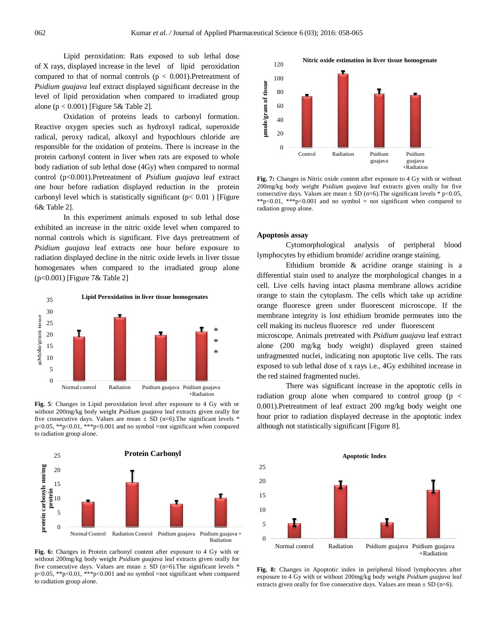Lipid peroxidation: Rats exposed to sub lethal dose of X rays, displayed increase in the level of lipid peroxidation compared to that of normal controls ( $p < 0.001$ ). Pretreatment of *Psidium guajava* leaf extract displayed significant decrease in the level of lipid peroxidation when compared to irradiated group alone ( $p < 0.001$ ) [Figure 5& Table 2].

Oxidation of proteins leads to carbonyl formation. Reactive oxygen species such as hydroxyl radical, superoxide radical, peroxy radical, alkoxyl and hypochlours chloride are responsible for the oxidation of proteins. There is increase in the protein carbonyl content in liver when rats are exposed to whole body radiation of sub lethal dose (4Gy) when compared to normal control (p<0.001).Pretreatment of *Psidium guajava* leaf extract one hour before radiation displayed reduction in the protein carbonyl level which is statistically significant ( $p < 0.01$ ) [Figure 6& Table 2].

In this experiment animals exposed to sub lethal dose exhibited an increase in the nitric oxide level when compared to normal controls which is significant. Five days pretreatment of *Psidium guajava* leaf extracts one hour before exposure to radiation displayed decline in the nitric oxide levels in liver tissue homogenates when compared to the irradiated group alone (p<0.001) [Figure 7& Table 2]



**Fig. 5**: Changes in Lipid peroxidation level after exposure to 4 Gy with or without 200mg/kg body weight *Psidium guajava* leaf extracts given orally for five consecutive days. Values are mean  $\pm$  SD (n=6). The significant levels  $*$ p<0.05, \*\*p<0.01, \*\*\*p<0.001 and no symbol =not significant when compared to radiation group alone.



**Fig. 6:** Changes in Protein carbonyl content after exposure to 4 Gy with or without 200mg/kg body weight *Psidium guajava* leaf extracts given orally for five consecutive days. Values are mean  $\pm$  SD (n=6). The significant levels  $*$ p<0.05, \*\*p<0.01, \*\*\*p<0.001 and no symbol =not significant when compared to radiation group alone.



**Fig. 7:** Changes in Nitric oxide content after exposure to 4 Gy with or without 200mg/kg body weight *Psidium guajava* leaf extracts given orally for five consecutive days. Values are mean  $\pm$  SD (n=6). The significant levels \* p<0.05, \*\*p<0.01, \*\*\*p<0.001 and no symbol = not significant when compared to radiation group alone.

#### **Apoptosis assay**

Cytomorphological analysis of peripheral blood lymphocytes by ethidium bromide/ acridine orange staining.

Ethidium bromide & acridine orange staining is a differential stain used to analyze the morphological changes in a cell. Live cells having intact plasma membrane allows acridine orange to stain the cytoplasm. The cells which take up acridine orange fluoresce green under fluorescent microscope. If the membrane integrity is lost ethidium bromide permeates into the cell making its nucleus fluoresce red under fluorescent

microscope. Animals pretreated with *Psidium guajava* leaf extract alone (200 mg/kg body weight) displayed green stained unfragmented nuclei, indicating non apoptotic live cells. The rats exposed to sub lethal dose of x rays i.e., 4Gy exhibited increase in the red stained fragmented nuclei.

There was significant increase in the apoptotic cells in radiation group alone when compared to control group (p < 0.001).Pretreatment of leaf extract 200 mg/kg body weight one hour prior to radiation displayed decrease in the apoptotic index although not statistically significant [Figure 8].



**Fig. 8:** Changes in Apoptotic index in peripheral blood lymphocytes after exposure to 4 Gy with or without 200mg/kg body weight *Psidium guajava* leaf extracts given orally for five consecutive days. Values are mean  $\pm$  SD (n=6).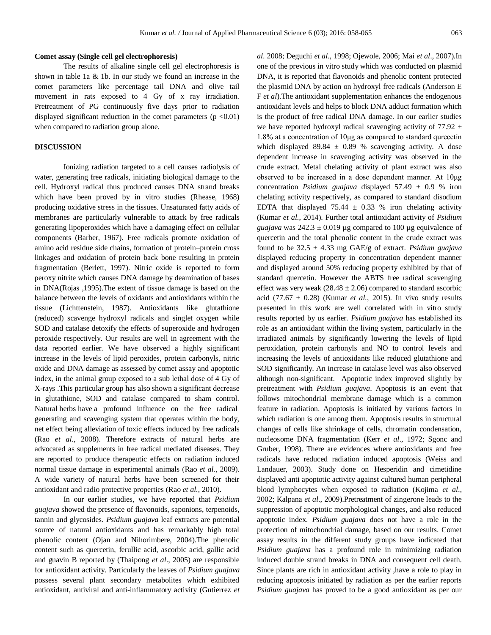#### **Comet assay (Single cell gel electrophoresis)**

The results of alkaline single cell gel electrophoresis is shown in table 1a & 1b. In our study we found an increase in the comet parameters like percentage tail DNA and olive tail movement in rats exposed to 4 Gy of x ray irradiation. Pretreatment of PG continuously five days prior to radiation displayed significant reduction in the comet parameters  $(p \le 0.01)$ when compared to radiation group alone.

# **DISCUSSION**

Ionizing radiation targeted to a cell causes radiolysis of water, generating free radicals, initiating biological damage to the cell. Hydroxyl radical thus produced causes DNA strand breaks which have been proved by in vitro studies (Rhease, 1968) producing oxidative stress in the tissues. Unsaturated fatty acids of membranes are particularly vulnerable to attack by free radicals generating lipoperoxides which have a damaging effect on cellular components (Barber, 1967). Free radicals promote oxidation of amino acid residue side chains, formation of protein–protein cross linkages and oxidation of protein back bone resulting in protein fragmentation (Berlett, 1997). Nitric oxide is reported to form peroxy nitrite which causes DNA damage by deamination of bases in DNA(Rojas ,1995).The extent of tissue damage is based on the balance between the levels of oxidants and antioxidants within the tissue (Lichttenstein, 1987). Antioxidants like glutathione (reduced) scavenge hydroxyl radicals and singlet oxygen while SOD and catalase detoxify the effects of superoxide and hydrogen peroxide respectively. Our results are well in agreement with the data reported earlier. We have observed a highly significant increase in the levels of lipid peroxides, protein carbonyls, nitric oxide and DNA damage as assessed by comet assay and apoptotic index, in the animal group exposed to a sub lethal dose of 4 Gy of X-rays .This particular group has also shown a significant decrease in glutathione, SOD and catalase compared to sham control. Natural herbs have a profound influence on the free radical generating and scavenging system that operates within the body, net effect being alleviation of toxic effects induced by free radicals (Rao *et al.*, 2008). Therefore extracts of natural herbs are advocated as supplements in free radical mediated diseases. They are reported to produce therapeutic effects on radiation induced normal tissue damage in experimental animals (Rao *et al.*, 2009). A wide variety of natural herbs have been screened for their antioxidant and radio protective properties (Rao *et al.*, 2010).

In our earlier studies, we have reported that *Psidium guajava* showed the presence of flavonoids, saponions, terpenoids, tannin and glycosides. *Psidium guajava* leaf extracts are potential source of natural antioxidants and has remarkably high total phenolic content (Ojan and Nihorimbere, 2004).The phenolic content such as quercetin, ferullic acid, ascorbic acid, gallic acid and guavin B reported by (Thaipong *et al*., 2005) are responsible for antioxidant activity. Particularly the leaves of *Psidium guajava* possess several plant secondary metabolites which exhibited antioxidant, antiviral and anti-inflammatory activity (Gutierrez *et*  *al*. 2008; Deguchi *et al*., 1998; Ojewole, 2006; Mai *et al*., 2007).In one of the previous in vitro study which was conducted on plasmid DNA, it is reported that flavonoids and phenolic content protected the plasmid DNA by action on hydroxyl free radicals (Anderson E F *et al*).The antioxidant supplementation enhances the endogenous antioxidant levels and helps to block DNA adduct formation which is the product of free radical DNA damage. In our earlier studies we have reported hydroxyl radical scavenging activity of 77.92  $\pm$ 1.8% at a concentration of 10μg as compared to standard qurecetin which displayed 89.84  $\pm$  0.89 % scavenging activity. A dose dependent increase in scavenging activity was observed in the crude extract. Metal chelating activity of plant extract was also observed to be increased in a dose dependent manner. At 10μg concentration *Psidium guajava* displayed 57.49 ± 0.9 % iron chelating activity respectively, as compared to standard disodium EDTA that displayed 75.44  $\pm$  0.33 % iron chelating activity (Kumar *et al.*, 2014). Further total antioxidant activity of *Psidium guajava* was  $242.3 \pm 0.019$  µg compared to 100 µg equivalence of quercetin and the total phenolic content in the crude extract was found to be  $32.5 \pm 4.33$  mg GAE/g of extract. *Psidium guajava* displayed reducing property in concentration dependent manner and displayed around 50% reducing property exhibited by that of standard quercetin. However the ABTS free radical scavenging effect was very weak  $(28.48 \pm 2.06)$  compared to standard ascorbic acid (77.67  $\pm$  0.28) (Kumar *et al.*, 2015). In vivo study results presented in this work are well correlated with in vitro study results reported by us earlier. *Psidium guajava* has established its role as an antioxidant within the living system, particularly in the irradiated animals by significantly lowering the levels of lipid peroxidation, protein carbonyls and NO to control levels and increasing the levels of antioxidants like reduced glutathione and SOD significantly. An increase in catalase level was also observed although non-significant. Apoptotic index improved slightly by pretreatment with *Psidium guajava*. Apoptosis is an event that follows mitochondrial membrane damage which is a common feature in radiation. Apoptosis is initiated by various factors in which radiation is one among them. Apoptosis results in structural changes of cells like shrinkage of cells, chromatin condensation, nucleosome DNA fragmentation (Kerr *et al*., 1972; Sgonc and Gruber, 1998). There are evidences where antioxidants and free radicals have reduced radiation induced apoptosis (Weiss and Landauer, 2003). Study done on Hesperidin and cimetidine displayed anti apoptotic activity against cultured human peripheral blood lymphocytes when exposed to radiation (Kojima *et al*., 2002; Kalpana *et al*., 2009).Pretreatment of zingerone leads to the suppression of apoptotic morphological changes, and also reduced apoptotic index. *Psidium guajava* does not have a role in the protection of mitochondrial damage, based on our results. Comet assay results in the different study groups have indicated that *Psidium guajava* has a profound role in minimizing radiation induced double strand breaks in DNA and consequent cell death. Since plants are rich in antioxidant activity ,have a role to play in reducing apoptosis initiated by radiation as per the earlier reports *Psidium guajava* has proved to be a good antioxidant as per our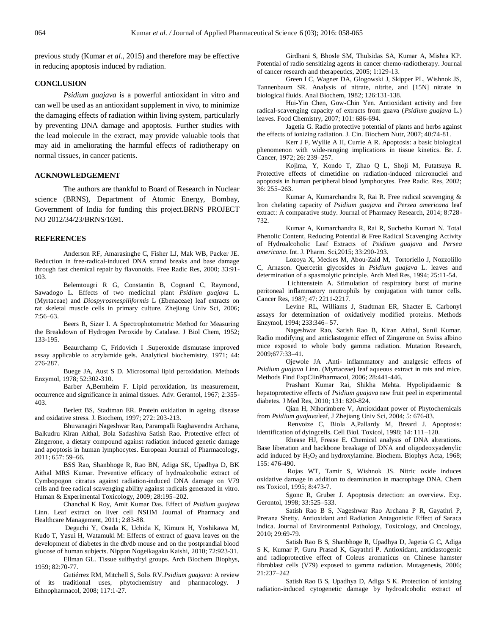previous study (Kumar *et al*., 2015) and therefore may be effective in reducing apoptosis induced by radiation.

# **CONCLUSION**

*Psidium guajava* is a powerful antioxidant in vitro and can well be used as an antioxidant supplement in vivo, to minimize the damaging effects of radiation within living system, particularly by preventing DNA damage and apoptosis. Further studies with the lead molecule in the extract, may provide valuable tools that may aid in ameliorating the harmful effects of radiotherapy on normal tissues, in cancer patients.

### **ACKNOWLEDGEMENT**

The authors are thankful to Board of Research in Nuclear science (BRNS), Department of Atomic Energy, Bombay, Government of India for funding this project.BRNS PROJECT NO 2012/34/23/BRNS/1691.

#### **REFERENCES**

Anderson RF, Amarasinghe C, Fisher LJ, Mak WB, Packer JE. Reduction in free-radical-induced DNA strand breaks and base damage through fast chemical repair by flavonoids. Free Radic Res, 2000; 33:91- 103.

Belemtougri R G, Constantin B, Cognard C, Raymond, Sawadogo L. Effects of two medicinal plant *Psidium guajava* L. (Myrtaceae) and *Diospyrosmespiliformis* L (Ebenaceae) leaf extracts on rat skeletal muscle cells in primary culture. Zhejiang Univ Sci, 2006; 7:56–63.

Beers R, Sizer I. A Spectrophotometric Method for Measuring the Breakdown of Hydrogen Peroxide by Catalase. J Biol Chem, 1952; 133-195.

Beaurchamp C, Fridovich I .Superoxide dismutase improved assay applicable to acrylamide gels. Analytical biochemistry, 1971; 44: 276-287.

Buege JA, Aust S D. Microsomal lipid peroxidation. Methods Enzymol, 1978; 52:302-310.

Barber A,Bernheim F. Lipid peroxidation, its measurement, occurrence and significance in animal tissues. Adv. Gerantol, 1967; 2:355- 403.

Berlett BS, Stadtman ER. Protein oxidation in ageing, disease and oxidative stress. J. Biochem, 1997; 272: 203-213.

Bhuvanagiri Nageshwar Rao, Parampalli Raghavendra Archana, Balkudru Kiran Aithal, Bola Sadashiva Satish Rao. Protective effect of Zingerone, a dietary compound against radiation induced genetic damage and apoptosis in human lymphocytes. European Journal of Pharmacology, 2011; 657: 59–66.

BSS Rao, Shanbhoge R, Rao BN, Adiga SK, Upadhya D, BK Aithal MRS Kumar. Preventive efficacy of hydroalcoholic extract of Cymbopogon citratus against radiation-induced DNA damage on V79 cells and free radical scavenging ability against radicals generated in vitro. Human & Experimental Toxicology, 2009; 28:195–202.

Chanchal K Roy, Amit Kumar Das. Effect of *Psidium guajava* Linn. Leaf extract on liver cell NSHM Journal of Pharmacy and Healthcare Management, 2011; 2:83-88.

Deguchi Y, Osada K, Uchida K, Kimura H, Yoshikawa M, Kudo T, Yasui H, Watamuki M: Effects of extract of guava leaves on the development of diabetes in the db/db mouse and on the postprandial blood glucose of human subjects. Nippon Nogeikagaku Kaishi, 2010; 72:923-31.

Ellman GL. Tissue sulfhydryl groups. Arch Biochem Biophys, 1959; 82:70-77.

Gutiérrez RM, Mitchell S, Solis RV.*Psidium guajava:* A review of its traditional uses, phytochemistry and pharmacology. J Ethnopharmacol, 2008; 117:1-27.

Girdhani S, Bhosle SM, Thulsidas SA, Kumar A, Mishra KP. Potential of radio sensitizing agents in cancer chemo-radiotherapy. Journal of cancer research and therapeutics, 2005; 1:129-13.

Green LC, Wagner DA, Glogowski J, Skipper PL, Wishnok JS, Tannenbaum SR. Analysis of nitrate, nitrite, and [15N] nitrate in biological fluids. Anal Biochem, 1982; 126:131-138.

Hui-Yin Chen, Gow-Chin Yen. Antioxidant activity and free radical-scavenging capacity of extracts from guava (*Psidium guajava* L.) leaves. Food Chemistry, 2007; 101: 686-694.

Jagetia G. Radio protective potential of plants and herbs against the effects of ionizing radiation. J. Cin. Biochem Nutr, 2007; 40:74-81.

Kerr J F, Wyllie A H, Currie A R. Apoptosis: a basic biological phenomenon with wide-ranging implications in tissue kinetics. Br. J. Cancer, 1972; 26: 239–257.

Kojima, Y, Kondo T, Zhao Q L, Shoji M, Futatsuya R. Protective effects of cimetidine on radiation-induced micronuclei and apoptosis in human peripheral blood lymphocytes. Free Radic. Res, 2002; 36: 255–263.

Kumar A, Kumarchandra R, Rai R. Free radical scavenging & Iron chelating capacity of *Psidium guajava* and *Persea americana* leaf extract: A comparative study. Journal of Pharmacy Research, 2014; 8:728- 732.

Kumar A, Kumarchandra R, Rai R, Suchetha Kumari N. Total Phenolic Content, Reducing Potential & Free Radical Scavenging Activity of Hydroalcoholic Leaf Extracts of *Psidium guajava* and *Persea americana*. Int. J. Pharm. Sci,2015; 33:290-293.

Lozoya X, Meckes M, Abou-Zaid M, Tortoriello J, Nozzolillo C, Arnason. Quercetin glycosides in *Psidium guajava* L. leaves and determination of a spasmolytic principle. Arch Med Res, 1994; 25:11-54.

Lichttenstein A. Stimulation of respiratory burst of murine peritoneal inflammatory neutrophils by conjugation with tumor cells. Cancer Res, 1987; 47: 2211-2217.

Levine RL, Williams J, Stadtman ER, Shacter E. Carbonyl assays for determination of oxidatively modified proteins. Methods Enzymol, 1994; 233:346– 57.

Nageshwar Rao, Satish Rao B, Kiran Aithal, Sunil Kumar. Radio modifying and anticlastogenic effect of Zingerone on Swiss albino mice exposed to whole body gamma radiation. Mutation Research, 2009;677:33–41.

Ojewole JA .Anti- inflammatory and analgesic effects of *Psidium guajava* Linn. (Myrtaceae) leaf aqueous extract in rats and mice. Methods Find ExpClinPharmacol, 2006; 28:441-446.

Prashant Kumar Rai, Shikha Mehta. Hypolipidaemic & hepatoprotective effects of *Psidium guajava* raw fruit peel in experimental diabetes. J Med Res, 2010; 131: 820-824.

Qian H, Nihorimbere V, Antioxidant power of Phytochemicals from *Psidium guajava*leaf, J Zhejiang Univ Sci, 2004; 5: 676-83.

Renvoize C, Biola A,Pallardy M, Breard J. Apoptosis: identification of dyingcells. Cell Biol. Toxicol, 1998; 14: 111–120.

Rhease HJ, Frease E. Chemical analysis of DNA alterations. Base liberation and backbone breakage of DNA and oligodeoxyadenylic acid induced by  $H_2O_2$  and hydroxylamine. Biochem. Biophys Acta, 1968; 155: 476-490.

Rojas WT, Tamir S, Wishnok JS. Nitric oxide induces oxidative damage in addition to deamination in macrophage DNA. Chem res Toxicol, 1995; 8:473-7.

Sgonc R, Gruber J. Apoptosis detection: an overview. Exp. Gerontol, 1998; 33:525–533.

Satish Rao B S, Nageshwar Rao Archana P R, Gayathri P, Prerana Shetty. Antioxidant and Radiation Antagonistic Effect of Saraca indica. Journal of Environmental Pathology, Toxicology, and Oncology, 2010; 29:69-79.

Satish Rao B S, Shanbhoge R, Upadhya D, Jagetia G C, Adiga S K, Kumar P, Guru Prasad K, Gayathri P. Antioxidant, anticlastogenic and radioprotective effect of Coleus aromaticus on Chinese hamster fibroblast cells (V79) exposed to gamma radiation. Mutagenesis, 2006; 21:237–242

Satish Rao B S, Upadhya D, Adiga S K. Protection of ionizing radiation-induced cytogenetic damage by hydroalcoholic extract of